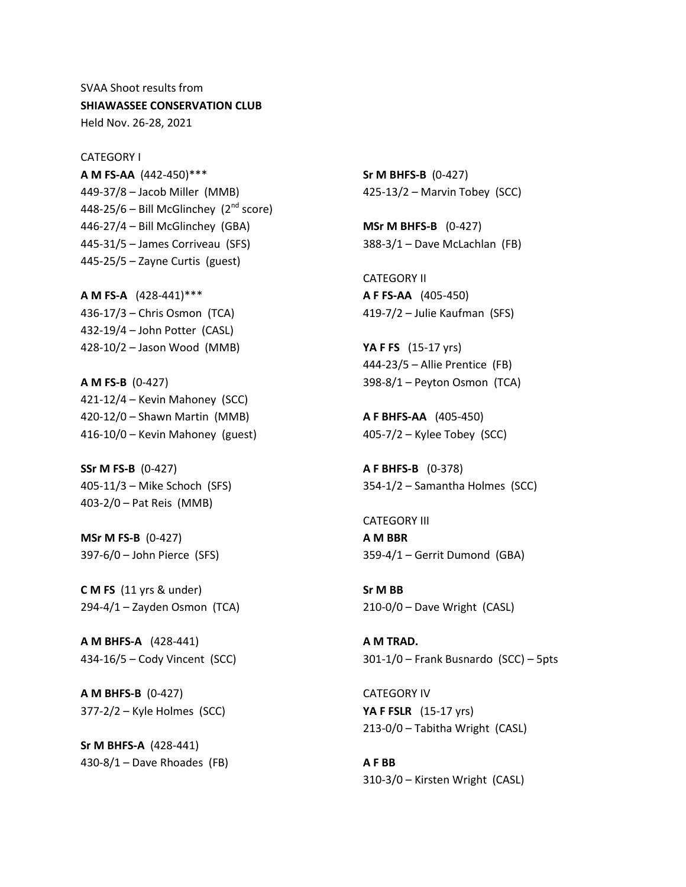SVAA Shoot results from **SHIAWASSEE CONSERVATION CLUB** Held Nov. 26-28, 2021

CATEGORY I **A M FS-AA** (442-450)\*\*\* 449-37/8 – Jacob Miller (MMB) 448-25/6 – Bill McGlinchey  $(2<sup>nd</sup> score)$ 446-27/4 – Bill McGlinchey (GBA) 445-31/5 – James Corriveau (SFS) 445-25/5 – Zayne Curtis (guest)

**A M FS-A** (428-441)\*\*\* 436-17/3 – Chris Osmon (TCA) 432-19/4 – John Potter (CASL) 428-10/2 – Jason Wood (MMB)

**A M FS-B** (0-427) 421-12/4 – Kevin Mahoney (SCC) 420-12/0 – Shawn Martin (MMB) 416-10/0 – Kevin Mahoney (guest)

**SSr M FS-B** (0-427) 405-11/3 – Mike Schoch (SFS) 403-2/0 – Pat Reis (MMB)

**MSr M FS-B** (0-427) 397-6/0 – John Pierce (SFS)

**C M FS** (11 yrs & under)  $294-4/1 -$ Zayden Osmon (TCA)

**A M BHFS-A** (428-441) 434-16/5 – Cody Vincent (SCC)

**A M BHFS-B** (0-427) 377-2/2 – Kyle Holmes (SCC)

**Sr M BHFS-A** (428-441)  $430-8/1 -$  Dave Rhoades (FB) **Sr M BHFS-B** (0-427) 425-13/2 – Marvin Tobey (SCC)

**MSr M BHFS-B** (0-427) 388-3/1 – Dave McLachlan (FB)

CATEGORY II **A F FS-AA** (405-450) 419-7/2 – Julie Kaufman (SFS)

**YA F FS** (15-17 yrs) 444-23/5 – Allie Prentice (FB) 398-8/1 – Peyton Osmon (TCA)

**A F BHFS-AA** (405-450) 405-7/2 – Kylee Tobey (SCC)

**A F BHFS-B** (0-378) 354-1/2 – Samantha Holmes (SCC)

CATEGORY III **A M BBR** 359-4/1 – Gerrit Dumond (GBA)

**Sr M BB** 210-0/0 – Dave Wright (CASL)

**A M TRAD.** 301-1/0 – Frank Busnardo (SCC) – 5pts

CATEGORY IV **YA F FSLR** (15-17 yrs) 213-0/0 – Tabitha Wright (CASL)

**A F BB** 310-3/0 – Kirsten Wright (CASL)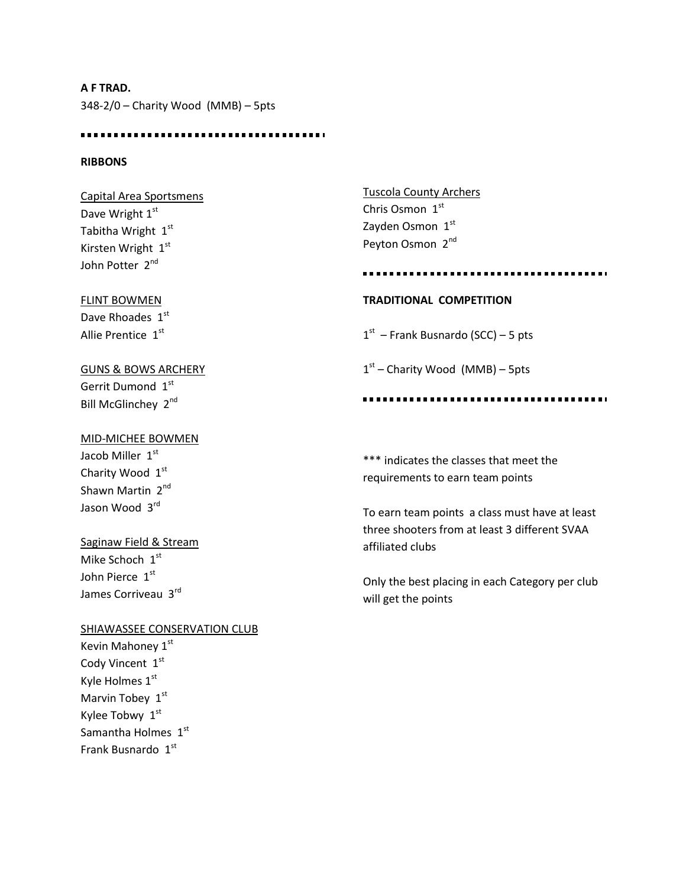**A F TRAD.** 348-2/0 – Charity Wood (MMB) – 5pts

## **RIBBONS**

Capital Area Sportsmens Dave Wright 1st Tabitha Wright 1st Kirsten Wright 1st John Potter 2<sup>nd</sup>

### FLINT BOWMEN

Dave Rhoades 1st Allie Prentice 1st

GUNS & BOWS ARCHERY Gerrit Dumond 1st Bill McGlinchey 2<sup>nd</sup>

Tuscola County Archers Chris Osmon 1st Zayden Osmon 1st Peyton Osmon 2<sup>nd</sup>

#### 

## **TRADITIONAL COMPETITION**

 $1<sup>st</sup>$  – Frank Busnardo (SCC) – 5 pts

1<sup>st</sup> – Charity Wood (MMB) – 5pts

# MID-MICHEE BOWMEN

Jacob Miller 1st Charity Wood 1st Shawn Martin 2<sup>nd</sup> Jason Wood 3rd

## Saginaw Field & Stream

Mike Schoch 1st John Pierce 1st James Corriveau 3rd

### SHIAWASSEE CONSERVATION CLUB

Kevin Mahoney 1st Cody Vincent 1st Kyle Holmes 1st Marvin Tobey 1st Kylee Tobwy 1st Samantha Holmes  $1<sup>st</sup>$ Frank Busnardo 1st

\*\*\* indicates the classes that meet the requirements to earn team points

To earn team points a class must have at least three shooters from at least 3 different SVAA affiliated clubs

Only the best placing in each Category per club will get the points